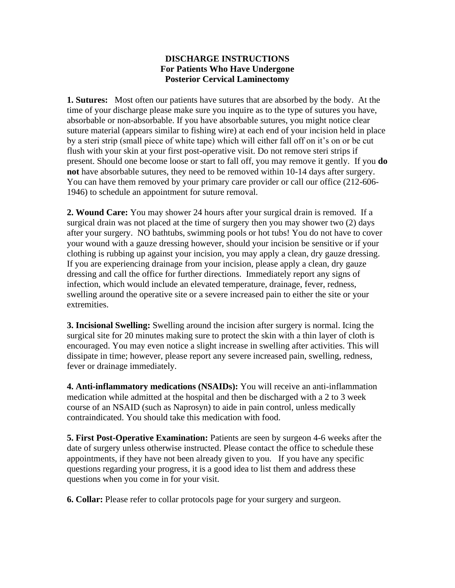## **DISCHARGE INSTRUCTIONS For Patients Who Have Undergone Posterior Cervical Laminectomy**

**1. Sutures:** Most often our patients have sutures that are absorbed by the body. At the time of your discharge please make sure you inquire as to the type of sutures you have, absorbable or non-absorbable. If you have absorbable sutures, you might notice clear suture material (appears similar to fishing wire) at each end of your incision held in place by a steri strip (small piece of white tape) which will either fall off on it's on or be cut flush with your skin at your first post-operative visit. Do not remove steri strips if present. Should one become loose or start to fall off, you may remove it gently.If you **do not** have absorbable sutures, they need to be removed within 10-14 days after surgery. You can have them removed by your primary care provider or call our office (212-606- 1946) to schedule an appointment for suture removal.

**2. Wound Care:** You may shower 24 hours after your surgical drain is removed. If a surgical drain was not placed at the time of surgery then you may shower two (2) days after your surgery. NO bathtubs, swimming pools or hot tubs! You do not have to cover your wound with a gauze dressing however, should your incision be sensitive or if your clothing is rubbing up against your incision, you may apply a clean, dry gauze dressing. If you are experiencing drainage from your incision, please apply a clean, dry gauze dressing and call the office for further directions. Immediately report any signs of infection, which would include an elevated temperature, drainage, fever, redness, swelling around the operative site or a severe increased pain to either the site or your extremities.

**3. Incisional Swelling:** Swelling around the incision after surgery is normal. Icing the surgical site for 20 minutes making sure to protect the skin with a thin layer of cloth is encouraged. You may even notice a slight increase in swelling after activities. This will dissipate in time; however, please report any severe increased pain, swelling, redness, fever or drainage immediately.

**4. Anti-inflammatory medications (NSAIDs):** You will receive an anti-inflammation medication while admitted at the hospital and then be discharged with a 2 to 3 week course of an NSAID (such as Naprosyn) to aide in pain control, unless medically contraindicated. You should take this medication with food.

**5. First Post-Operative Examination:** Patients are seen by surgeon 4-6 weeks after the date of surgery unless otherwise instructed. Please contact the office to schedule these appointments, if they have not been already given to you. If you have any specific questions regarding your progress, it is a good idea to list them and address these questions when you come in for your visit.

**6. Collar:** Please refer to collar protocols page for your surgery and surgeon.